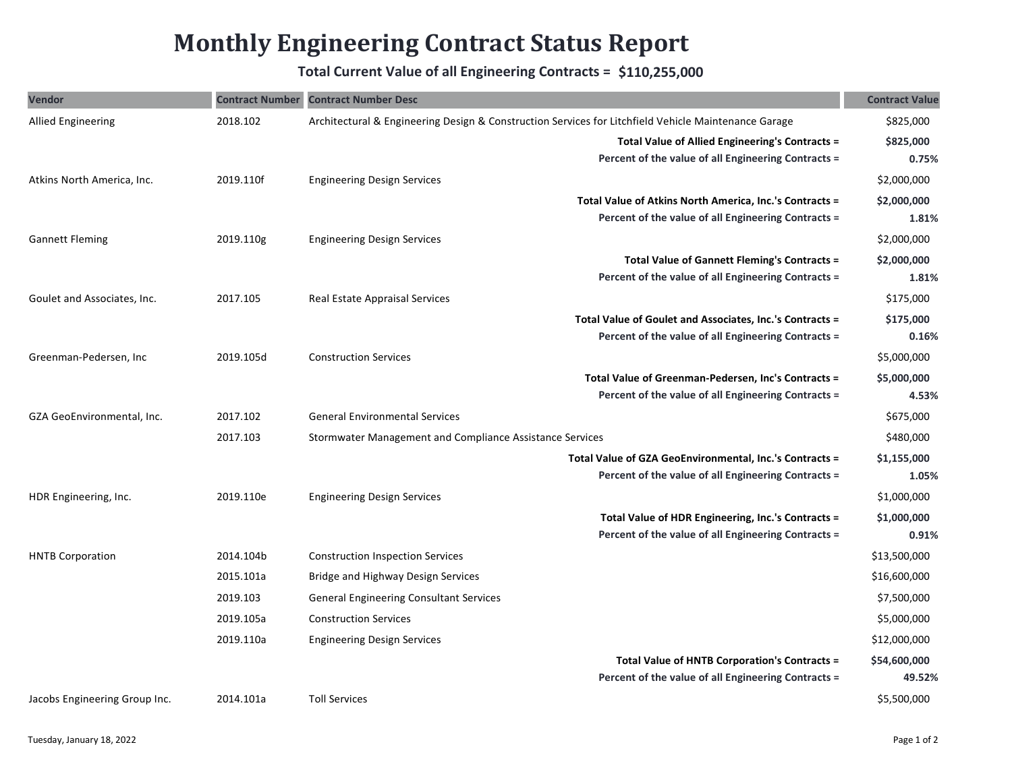## **Monthly Engineering Contract Status Report**

## **Total Current Value of all Engineering Contracts = \$110,255,000**

| Vendor                        |           | <b>Contract Number Contract Number Desc</b>                                                          | <b>Contract Value</b> |
|-------------------------------|-----------|------------------------------------------------------------------------------------------------------|-----------------------|
| <b>Allied Engineering</b>     | 2018.102  | Architectural & Engineering Design & Construction Services for Litchfield Vehicle Maintenance Garage | \$825,000             |
|                               |           | <b>Total Value of Allied Engineering's Contracts =</b>                                               | \$825,000             |
|                               |           | Percent of the value of all Engineering Contracts =                                                  | 0.75%                 |
| Atkins North America, Inc.    | 2019.110f | <b>Engineering Design Services</b>                                                                   | \$2,000,000           |
|                               |           | Total Value of Atkins North America, Inc.'s Contracts =                                              | \$2,000,000           |
|                               |           | Percent of the value of all Engineering Contracts =                                                  | 1.81%                 |
| <b>Gannett Fleming</b>        | 2019.110g | <b>Engineering Design Services</b>                                                                   | \$2,000,000           |
|                               |           | Total Value of Gannett Fleming's Contracts =                                                         | \$2,000,000           |
|                               |           | Percent of the value of all Engineering Contracts =                                                  | 1.81%                 |
| Goulet and Associates, Inc.   | 2017.105  | Real Estate Appraisal Services                                                                       | \$175,000             |
|                               |           | Total Value of Goulet and Associates, Inc.'s Contracts =                                             | \$175,000             |
|                               |           | Percent of the value of all Engineering Contracts =                                                  | 0.16%                 |
| Greenman-Pedersen, Inc        | 2019.105d | <b>Construction Services</b>                                                                         | \$5,000,000           |
|                               |           | Total Value of Greenman-Pedersen, Inc's Contracts =                                                  | \$5,000,000           |
|                               |           | Percent of the value of all Engineering Contracts =                                                  | 4.53%                 |
| GZA GeoEnvironmental, Inc.    | 2017.102  | <b>General Environmental Services</b>                                                                | \$675,000             |
|                               | 2017.103  | Stormwater Management and Compliance Assistance Services                                             | \$480,000             |
|                               |           | Total Value of GZA GeoEnvironmental, Inc.'s Contracts =                                              | \$1,155,000           |
|                               |           | Percent of the value of all Engineering Contracts =                                                  | 1.05%                 |
| HDR Engineering, Inc.         | 2019.110e | <b>Engineering Design Services</b>                                                                   | \$1,000,000           |
|                               |           | Total Value of HDR Engineering, Inc.'s Contracts =                                                   | \$1,000,000           |
|                               |           | Percent of the value of all Engineering Contracts =                                                  | 0.91%                 |
| <b>HNTB Corporation</b>       | 2014.104b | <b>Construction Inspection Services</b>                                                              | \$13,500,000          |
|                               | 2015.101a | Bridge and Highway Design Services                                                                   | \$16,600,000          |
|                               | 2019.103  | <b>General Engineering Consultant Services</b>                                                       | \$7,500,000           |
|                               | 2019.105a | <b>Construction Services</b>                                                                         | \$5,000,000           |
|                               | 2019.110a | <b>Engineering Design Services</b>                                                                   | \$12,000,000          |
|                               |           | Total Value of HNTB Corporation's Contracts =                                                        | \$54,600,000          |
|                               |           | Percent of the value of all Engineering Contracts =                                                  | 49.52%                |
| Jacobs Engineering Group Inc. | 2014.101a | <b>Toll Services</b>                                                                                 | \$5,500,000           |